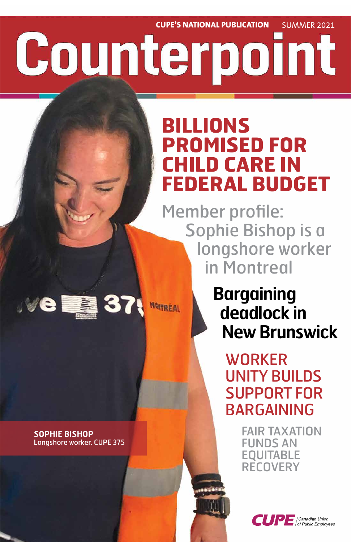**CUPE'S NATIONAL PUBLICATION** SUMMER 2021

# Counterpoint

## **BILLIONS PROMISED FOR CHILD CARE IN FEDERAL BUDGET**

**Bargaining deadlock in New Brunswick**

Member profile: Sophie Bishop is a longshore worker in Montreal

> WORKER UNITY BUILDS SUPPORT FOR

## BARGAINING

FAIR TAXATION FUNDS AN EQUITABLE RECOVERY



#### **SOPHIE BISHOP** Longshore worker, CUPE 375

■ 37

JVe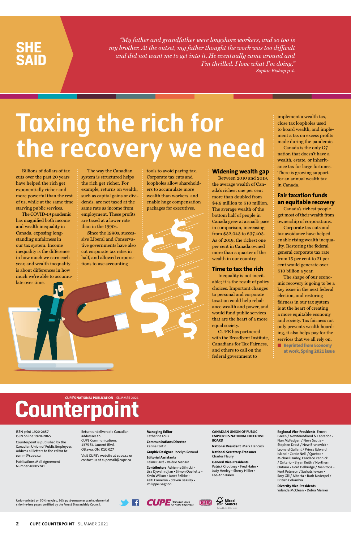**2 CUPE COUNTERPOINT** SUMMER 2021

*"My father and grandfather were longshore workers, and so too is my brother. At the outset, my father thought the work was too difficult and did not want me to get into it. He eventually came around and I'm thrilled. I love what I'm doing." Sophie Bishop p 4.*

### **SHE SAID**

Union-printed on 50% recycled, 30% post-consumer waste, elemental chlorine-free paper, certified by the Forest Stewardship Council.





ISSN print 1920-2857 ISSN online 1920-2865

Counterpoint is published by the Canadian Union of Public Employees. Address all letters to the editor to: comm@cupe.ca

Publications Mail Agreement Number 40005741

Return undeliverable Canadian addresses to: CUPE Communications, 1375 St. Laurent Blvd. Ottawa, ON, K1G 0Z7

Visit CUPE's website at cupe.ca or contact us at cupemail@cupe.ca

**Managing Editor** Catherine Louli

**Communications Director** Karine Fortin

**Graphic Designer** Jocelyn Renaud

**Editorial Assistants** Céline Carré • Valérie Ménard

**Contributors** Adrienne Silnicki • Lisa Djevahirdjian • Simon Ouellette • Kevin Wilson • Janet Szliske • Kelti Cameron • Steven Beasley • Philippe Gagnon

**CANADIAN UNION OF PUBLIC EMPLOYEES NATIONAL EXECUTIVE BOARD**

**National President** Mark Hancock

**National Secretary-Treasurer** Charles Fleury

**General Vice-Presidents** Patrick Gloutney • Fred Hahn • Judy Henley • Sherry Hillier • Lee-Ann Kalen

**Regional Vice-Presidents** Ernest Green / Newfoundland & Labrador • Nan McFadgen / Nova Scotia • Stephen Drost / New Brunswick • Leonard Gallant / Prince Edward Island • Carole Neill / Quebec • Michael Hurley, Candace Rennick / Ontario • Bryan Keith / Northern Ontario • Gord Delbridge / Manitoba • Kent Peterson / Saskatchewan • Rory Gill / Alberta • Barb Nederpel / British Columbia

#### **Diversity Vice-Presidents**

Yolanda McClean • Debra Merrier

Billions of dollars of tax cuts over the past 20 years have helped the rich get exponentially richer and more powerful than the rest of us, while at the same time starving public services.

The COVID-19 pandemic has magnified both income and wealth inequality in Canada, exposing longstanding unfairness in our tax system. Income inequality is the difference in how much we earn each year, and wealth inequality is about differences in how much we're able to accumulate over time.

> ■ **Reprinted from Economy at work, Spring 2021 issue**

## **Counterpoint**

The way the Canadian system is structured helps the rich get richer. For example, returns on wealth, such as capital gains or dividends, are not taxed at the same rate as income from employment. These profits are taxed at a lower rate than in the 1990s.

Since the 1990s, successive Liberal and Conservative governments have also cut corporate tax rates in half, and allowed corporations to use accounting

tools to avoid paying tax. Corporate tax cuts and loopholes allow shareholders to accumulate more wealth than workers and enable huge compensation packages for executives.

#### **Widening wealth gap**

Between 2010 and 2019, the average wealth of Canada's richest one per cent more than doubled from \$4.9 million to \$10 million. The average wealth of the bottom half of people in Canada grew at a snail's pace in comparison, increasing from \$32,043 to \$37,403. As of 2019, the richest one per cent in Canada owned more than a quarter of the wealth in our country.

#### **Time to tax the rich**

Inequality is not inevitable; it is the result of policy choices. Important changes to personal and corporate taxation could help rebalance wealth and power, and would fund public services that are the heart of a more equal society.

CUPE has partnered with the Broadbent Institute, Canadians for Tax Fairness, and others to call on the federal government to

implement a wealth tax, close tax loopholes used to hoard wealth, and implement a tax on excess profits made during the pandemic.

Canada is the only G7 nation that doesn't have a wealth, estate, or inheritance tax for large fortunes. There is growing support for an annual wealth tax in Canada.

#### **Fair taxation funds an equitable recovery**

Canada's richest people get most of their wealth from ownership of corporations.

Corporate tax cuts and tax avoidance have helped enable rising wealth inequality. Restoring the federal general corporate tax rate from 15 per cent to 21 per cent would generate over \$10 billion a year.

The shape of our economic recovery is going to be a key issue in the next federal election, and restoring fairness in our tax system is at the heart of creating a more equitable economy and society. Tax fairness not only prevents wealth hoarding, it also helps pay for the services that we all rely on.

## **Taxing the rich for the recovery we need**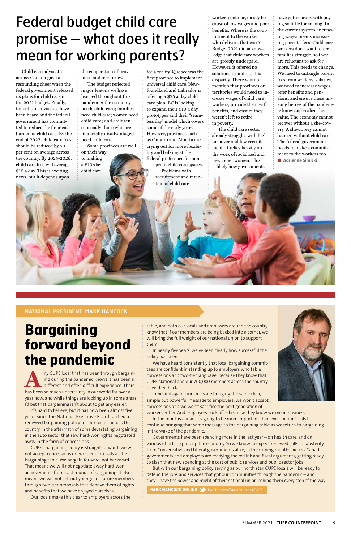#### **NATIONAL PRESIDENT** MARK HANCOCK

### **Bargaining forward beyond the pandemic**

Any CUPE local that has been through bargain-<br>
ing during the pandemic knows it has been a<br>
different and often difficult experience. There<br>
has been so much uncertainty in our world for over a ing during the pandemic knows it has been a different and often difficult experience. There has been so much uncertainty in our world for over a

year now, and while things are looking up in some areas, I'd bet that bargaining isn't about to get any easier.

It's hard to believe, but it has now been almost five years since the National Executive Board ratified a renewed bargaining policy for our locals across the country, in the aftermath of some devastating bargaining in the auto sector that saw hard-won rights negotiated away in the form of concessions.

CUPE's bargaining policy is straight-forward: we will not accept concessions or two-tier proposals at the bargaining table. We bargain forward, not backward. That means we will not negotiate away hard-won achievements from past rounds of bargaining. It also means we will not sell out younger or future members through two-tier proposals that deprive them of rights and benefits that we have enjoyed ourselves.

Our locals make this clear to employers across the

table, and both our locals and employers around the country know that if our members are being backed into a corner, we will bring the full weight of our national union to support them.

In nearly five years, we've seen clearly how successful the policy has been.

We have heard consistently that local bargaining committees are confident in standing up to employers who table concessions and two-tier language, because they know that CUPE National and our 700,000 members across the country have their back.

Time and again, our locals are bringing the same clear,



simple but powerful message to employers: we won't accept concessions and we won't sacrifice the next generation of workers either. And employers back off – because they know we mean business.

In the months ahead, it's going to be more important than ever for our locals to continue bringing that same message to the bargaining table as we return to bargaining in the wake of the pandemic.

Governments have been spending more in the last year – on health care, and on various efforts to prop up the economy. So we know to expect renewed calls for austerity, from Conservative and Liberal governments alike, in the coming months. Across Canada, governments and employers are readying the red ink and fiscal arguments, getting ready to slash that new spending at the cost of public services and public sector jobs.

But with our bargaining policy serving as our north star, CUPE locals will be ready to defend the jobs and services that got our communities through the pandemic – and they'll have the power and might of their national union behind them every step of the way.

**MARK HANCOCK ONLINE 3** twitter.com/MarkHancockCUPE

Child care advocates across Canada gave a resounding cheer when the federal government released its plans for child care in the 2021 budget. Finally, the calls of advocates have been heard and the federal government has committed to reduce the financial burden of child care. By the end of 2022, child care fees should be reduced by 50 per cent on average across the country. By 2025-2026, child care fees will average \$10 a day. This is exciting news, but it depends upon

the cooperation of provinces and territories.

The budget reflected major lessons we have learned throughout this pandemic: the economy needs child care; families need child care; women need child care; and children – especially those who are financially disadvantaged – need child care.

Some provinces are well on their way to making

a \$10/day child care

fee a reality. Quebec was the first province to implement universal child care. Newfoundland and Labrador is offering a \$25 a day child care plan. BC is looking to expand their \$10 a day prototypes and their "seamless day" model which covers some of the early years. However, provinces such as Ontario and Alberta are crying out for more flexibility and balking at the federal preference for non-

profit child care spaces. Problems with recruitment and retention of child care

workers continue, mostly because of low wages and poor benefits. Where is the commitment to the worker who delivers that care? Budget 2021 did acknowledge that child care workers are grossly underpaid. However, it offered no solutions to address this disparity. There was no mention that provinces or territories would need to increase wages of child care workers, provide them with benefits, and ensure they weren't left to retire in poverty.

The child care sector already struggles with high turnover and low recruitment. It relies heavily on the work of racialized and newcomer women. This is likely how governments

have gotten away with paying so little for so long. In the current system, increasing wages means increasing parents' fees. Child care workers don't want to see families struggle, so they are reluctant to ask for more. This needs to change. We need to untangle parent fees from workers' salaries, we need to increase wages, offer benefits and pensions, and ensure these unsung heroes of the pandemic know and realize their value. The economy cannot recover without a she-covery. A she-covery cannot happen without child care. The federal government needs to make a commitment to the workers too. ■ **Adrienne Silnicki**

### Federal budget child care promise – what does it really mean for working parents?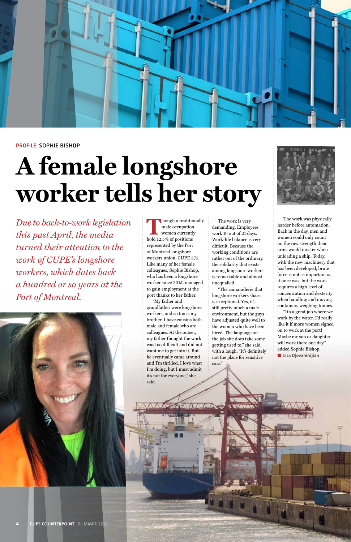*Due to back-to-work legislation this past April, the media turned their attention to the work of CUPE's longshore workers, which dates back a hundred or so years at the Port of Montreal.*





#### PROFILE SOPHIE BISHOP

## **A female longshore worker tells her story**



**hough a traditionally** male occupation, women currently hold 12.5% of positions represented by the Port of Montreal longshore workers union, CUPE 375. Like many of her female colleagues, Sophie Bishop, who has been a longshore worker since 2015, managed to gain employment at the port thanks to her father.

"My father and grandfather were longshore workers, and so too is my brother. I have cousins both male and female who are colleagues. At the outset, my father thought the work was too difficult and did not want me to get into it. But he eventually came around and I'm thrilled. I love what I'm doing, but I must admit it's not for everyone," she said.

The work is very demanding. Employees work 19 out of 21 days. Work-life balance is very difficult. Because the working conditions are rather out of the ordinary, the solidarity that exists among longshore workers is remarkable and almost unequalled.

"The camaraderie that longshore workers share is exceptional. Yes, it's still pretty much a male environment, but the guys have adjusted quite well to the women who have been hired. The language on the job site does take some getting used to," she said with a laugh. "It's definitely not the place for sensitive ears."



The work was physically harder before automation. Back in the day, men and women could only count on the raw strength their arms would muster when unloading a ship. Today, with the new machinery that has been developed, brute force is not as important as it once was, but the work requires a high level of concentration and dexterity when handling and moving containers weighing tonnes.

"It's a great job where we work by the water. I'd really like it if more women signed on to work at the port! Maybe my son or daughter will work there one day," added Sophie Bishop. ■ **Lisa Djevahirdjian**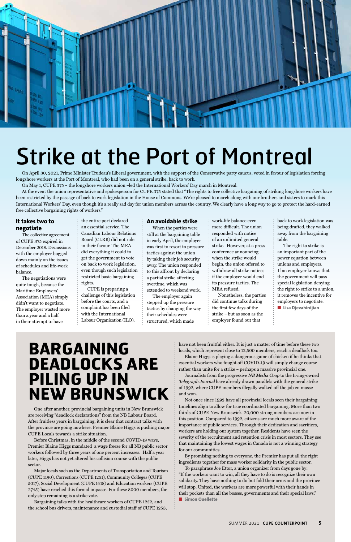One after another, provincial bargaining units in New Brunswick are receiving "deadlock declarations" from the NB Labour Board. After fruitless years in bargaining, it is clear that contract talks with the province are going nowhere. Premier Blaine Higgs is pushing major CUPE Locals towards a strike situation.

Before Christmas, in the middle of the second COVID-19 wave, Premier Blaine Higgs mandated a wage freeze for all NB public sector workers followed by three years of one percent increases. Half a year later, Higgs has not yet altered his collision course with the public sector.

Major locals such as the Departments of Transportation and Tourism (CUPE 1190), Corrections (CUPE 1251), Community Colleges (CUPE 5017), Social Development (CUPE 1418) and Education workers (CUPE 2745) have reached this formal impasse. For these 8000 members, the only step remaining is a strike vote.

Journalists from the progressive NB Media Coop to the Irving-owned Telegraph Journal have already drawn parallels with the general strike of 1992, where CUPE members illegally walked off the job en masse and won.

Bargaining talks with the healthcare workers of CUPE 1252, and the school bus drivers, maintenance and custodial staff of CUPE 1253, have not been fruitful either. It is just a matter of time before these two locals, which represent close to 12,500 members, reach a deadlock too.

Blaine Higgs is playing a dangerous game of chicken if he thinks that essential workers who fought off COVID-19 will simply change course rather than unite for a strike – perhaps a massive provincial one.

Not once since 1992 have all provincial locals seen their bargaining timelines align to allow for true coordinated bargaining. More than two thirds of CUPE New Brunswick 20,000 strong members are now in this position. Compared to 1992, citizens are much more aware of the importance of public services. Through their dedication and sacrifices, workers are holding our system together. Residents have seen the severity of the recruitment and retention crisis in most sectors. They see that maintaining the lowest wages in Canada is not a winning strategy for our communities.

By promising nothing to everyone, the Premier has put all the right ingredients together for mass worker solidarity in the public sector.

To paraphrase Joe Ettor, a union organizer from days gone by: "If the workers want to win, all they have to do is recognize their own solidarity. They have nothing to do but fold their arms and the province will stop. United, the workers are more powerful with their hands in their pockets than all the bosses, governments and their special laws." ■ **Simon Ouellette**

### **BARGAINING DEADLOCKS ARE PILING UP IN NEW BRUNSWICK**



## Strike at the Port of Montreal

On April 30, 2021, Prime Minister Trudeau's Liberal government, with the support of the Conservative party caucus, voted in favour of legislation forcing longshore workers at the Port of Montreal, who had been on a general strike, back to work.

On May 1, CUPE 375 – the longshore workers union –led the International Workers' Day march in Montreal.

At the event the union representative and spokesperson for CUPE 375 stated that "The rights to free collective bargaining of striking longshore workers have been restricted by the passage of back to work legislation in the House of Commons. We're pleased to march along with our brothers and sisters to mark this International Workers' Day, even though it's a really sad day for union members across the country. We clearly have a long way to go to protect the hard-earned free collective bargaining rights of workers."

#### **It takes two to negotiate**

The collective agreement of CUPE 375 expired in December 2018. Discussions with the employer bogged down mainly on the issues of schedules and life-work balance.

The negotiations were quite tough, because the Maritime Employers' Association (MEA) simply didn't want to negotiate. The employer wasted more than a year and a half in their attempt to have

the entire port declared an essential service. The Canadian Labour Relations Board (CLRB) did not rule in their favour. The MEA did everything it could to get the government to vote on back to work legislation, even though such legislation restricted basic bargaining rights.

CUPE is preparing a challenge of this legislation before the courts, and a complaint has been filed with the International Labour Organization (ILO).

#### **An avoidable strike**

When the parties were still at the bargaining table in early April, the employer was first to resort to pressure tactics against the union by taking their job security away. The union responded to this affront by declaring a partial strike affecting overtime, which was extended to weekend work.

The employer again stepped up the pressure tactics by changing the way their schedules were structured, which made

work-life balance even more difficult. The union responded with notice of an unlimited general strike. However, at a press conference announcing when the strike would begin, the union offered to withdraw all strike notices if the employer would end its pressure tactics. The MEA refused.

Nonetheless, the parties did continue talks during the first few days of the strike – but as soon as the employer found out that

back to work legislation was being drafted, they walked away from the bargaining table.

The right to strike is an important part of the power equation between unions and employers. If an employer knows that the government will pass special legislation denying the right to strike to a union, it removes the incentive for employers to negotiate.

■ **Lisa Djevahirdjian**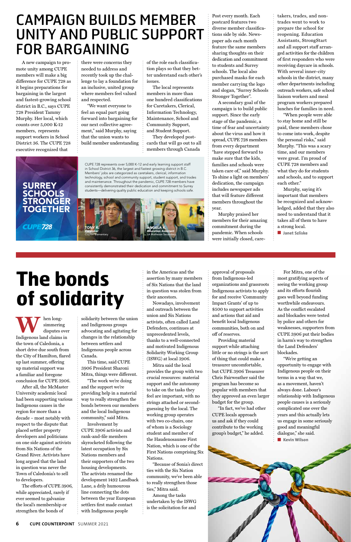A new campaign to promote unity among CUPE members will make a big difference for CUPE 728 as it begins preparations for bargaining in the largest and fastest-growing school district in B.C., says CUPE 728 President Tammy Murphy. Her local, which counts over 5,000 K-12 members, represents support workers in School District 36. The CUPE 728 executive recognized that

there were concerns they needed to address and recently took up the challenge to lay a foundation for an inclusive, united group where members feel valued and respected.

"We want everyone to feel an equal part going forward into bargaining for our next collective agreement," said Murphy, saying that the union wants to build member understanding

of the role each classification plays so that they better understand each other's issues.

The local represents members in more than one hundred classifications for Caretakers, Clerical, Information Technology, Maintenance, School and Community Support, and Student Support.

They developed postcards that will go out to all members through Canada

**SURREY SCHOOLS** STRONGER **TOGETHER CUPE728** 

Post every month. Each postcard features two diverse member classifications side by side. Newspaper ads each month feature the same members sharing thoughts on their dedication and commitment to students and Surrey schools. The local also purchased masks for each member carrying the logo and slogan, "Surrey Schools Stronger Together".

**WE SERV** disputes over<br>
Indigenous land claims in simmering disputes over the town of Caledonia, a short drive due south from the City of Hamilton, flared up last summer, offering up material support was a familiar and foregone conclusion for CUPE 3906.

A secondary goal of the campaign is to build public support. Since the early stage of the pandemic, a time of fear and uncertainty about the virus and how it spread, CUPE 728 members from every department "have stepped forward to make sure that the kids, families and schools were taken care of," said Murphy. To shine a light on members' dedication, the campaign includes newspaper ads that will feature different members throughout the year.

Murphy praised her members for their amazing commitment during the pandemic. When schools were initially closed, caretakers, trades, and nontrades went to work to prepare the school for reopening. Education Assistants, StrongStart and all support staff arranged activities for the children of first responders who were receiving daycare in schools. With several inner-city schools in the district, many other departments including outreach workers, safe school liaison workers and meal program workers prepared lunches for families in need.

"When people were able to stay home and still be paid, these members chose to come into work, despite the personal risks," said Murphy. "This was a scary time, and our members were great. I'm proud of CUPE 728 members and what they do for students and schools, and to support each other."

Murphy, saying it's important that members be recognized and acknowledged, added that they also need to understand that it takes all of them to have a strong local.

■ **Janet Szliske**

### CAMPAIGN BUILDS MEMBER UNITY AND PUBLIC SUPPORT FOR BARGAINING

"We're getting an opportunity to engage with Indigenous people on their terms in a way that we, as a movement, haven't always done. Labour's relationship with Indigenous people causes is a seriously complicated one over the years and this actually lets us engage in some seriously good and meaningful dialogue," she said. ■ **Kevin Wilson** 

After all, the McMaster University academic local had been supporting various Indigenous causes in the region for more than a decade – most notably with respect to the dispute that placed settler property developers and politicians on one side against activists from Six Nations of the Grand River. Activists have long argued that the land in question was never the Town of Caledonia's to sell to developers. The efforts of CUPE 3906, while appreciated, rarely if ever seemed to galvanize the local's membership or strengthen the bonds of

solidarity between the union and Indigenous groups advocating and agitating for changes in the relationship between settlers and Indigenous people across Canada.

This time, said CUPE 3906 President Sharoni Mitra, things were different.

"The work we're doing and the support we're providing help in a material way to really strengthen the bonds between our members and the local Indigenous community," said Mitra.

Involvement by CUPE 3906 activists and rank-and-file members skyrocketed following the latest occupation by Six Nations members and their supporters of the two housing developments. The activists renamed the development 1492 Landback Lane, a drily humourous line connecting the dots between the year European settlers first made contact with Indigenous people

in the Americas and the assertion by many members of Six Nations that the land in question was stolen from their ancestors.

Nowadays, involvement and outreach between the union and Six Nations activists, often called Land Defenders, continues at unprecedented levels, thanks to a well-connected and motivated Indigenous Solidarity Working Group (ISWG) at local 3906.

Mitra said the local provides the group with two crucial resources: material support and the autonomy to take on the tasks they feel are important, with no strings attached or secondguessing by the local. The working group operates with two co-chairs, one of whom is a Sociology student and member of the Haudenosaunee First Nation, which is one of the First Nations comprising Six Nations. "Because of Sonia's direct ties with the Six Nation community, we've been able to really strengthen those ties," Mitra said. Among the tasks undertaken by the ISWG is the solicitation for and

approval of proposals from Indigenous-led organizations and grassroots Indigenous activists to apply for and receive 'Community Impact Grants' of up to \$500 to support activities and actions that aid and benefit local Indigenous communities, both on and off of reserves.

Providing material support while attaching little or no strings is the sort of thing that could make a treasurer uncomfortable, but CUPE 3906 Treasurer Chris Fairweather said the program has become so popular with members that they approved an even larger

budget for the group.

"In fact, we've had other CUPE locals approach us and ask if they could contribute to the working group's budget," he added.

**6 CUPE COUNTERPOINT** SUMMER 2021

For Mitra, one of the most gratifying aspects of seeing the working group and its efforts flourish goes well beyond funding worthwhile endeavours. As the conflict escalated and blockades were tested by police and others for weaknesses, supporters from CUPE 3906 put their bodies in harm's way to strengthen the Land Defenders' blockades.

CUPE 728 represents over 5,000 K-12 and early learning support staff in School District 36, the largest and fastest growing district in B.C. Members' jobs are categorized as caretakers, clerical, information technology, school and community support, student support, and trades and maintenance. Throughout the pandemic, CUPE 728 members have consistently demonstrated their dedication and commitment to Surrey students—delivering quality public education and keeping schools safe.



## **The bonds of solidarity**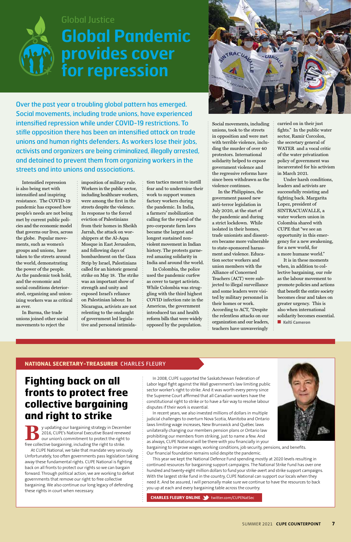#### **NATIONAL SECRETARY-TREASURER** CHARLES FLEURY

In 2008, CUPE supported the Saskatchewan Federation of Labor legal fight against the Wall government's law limiting public sector worker's right to strike. And it was worth every penny since the Supreme Court affirmed that all Canadian workers have the



constitutional right to strike or to have a fair way to resolve labour disputes if their work is essential.

In recent years, we also invested millions of dollars in multiple judicial challenges to overturn Nova Scotia, Manitoba and Ontario laws limiting wage increases, New Brunswick and Québec laws unilaterally changing our members pension plans or Ontario law prohibiting our members from striking, just to name a few. And as always, CUPE National will be there with you financially in your

bargaining to improve wages, working conditions, job security, pensions, and benefits. Our financial foundation remains solid despite the pandemic.

This year we kept the National Defence Fund spending mostly at 2020 levels resulting in continued resources for bargaining support campaigns. The National Strike Fund has over one hundred and twenty-eight million dollars to fund your strike-avert and strike support campaigns. With the largest strike fund in the country, CUPE National can support our locals when they need it. And be assured, I will personally make sure we continue to have the resources to back you up at each and every bargaining table across the country.

**CHARLES FLEURY ONLINE** twitter.com/CUPENatSec

#### **Fighting back on all fronts to protect free**

#### **collective bargaining and right to strike**

**B**y updating our bargaining strategy in December 2016, CUPE's National Executive Board renewed our union's commitment to protect the right to free collective bargaining, including the right to strike.

At CUPE National, we take that mandate very seriously. Unfortunately, too often governments pass legislation taking away these fundamental rights. CUPE National is fighting back on all fronts to protect our rights so we can bargain forward. Through political action, we are working to defeat governments that remove our right to free collective bargaining. We also continue our long legacy of defending these rights in court when necessary.

Intensified repression is also being met with intensified and inspiring resistance. The COVID-19 pandemic has exposed how people's needs are not being met by current public policies and the economic model that governs our lives, across the globe. Popular movements, such as women's groups and unions, have taken to the streets around the world, demonstrating the power of the people. As the pandemic took hold, and the economic and social conditions deteriorated, organizing and unionizing workers was as critical as ever.

In Burma, the trade unions joined other social movements to reject the

imposition of military rule. Workers in the public sector, including healthcare workers, were among the first in the streets despite the violence. In response to the forced eviction of Palestinians from their homes in Sheikh Jarrah, the attack on worshippers at the Al-Aqsa Mosque in East Jerusalem, and following days of bombardment on the Gaza Strip by Israel, Palestinians called for an historic general strike on May 18. The strike was an important show of strength and unity and exposed Israel's reliance on Palestinian labour. In Nicaragua, activists are not relenting to the onslaught of government led legislative and personal intimidation tactics meant to instill fear and to undermine their work to support women factory workers during the pandemic. In India, a farmers' mobilization calling for the repeal of the pro-corporate farm laws became the largest and longest sustained nonviolent movement in Indian history. The protests garnered amazing solidarity in India and around the world.

In Colombia, the police used the pandemic curfew as cover to target activists. While Colombia was struggling with the third highest COVID infection rate in the Americas, the government introduced tax and health reform bills that were widely opposed by the population.

Social movements, including unions, took to the streets in opposition and were met with terrible violence, including the murder of over 40 protestors. International solidarity helped to expose government violence and the regressive reforms have since been withdrawn as the violence continues.

In the Philippines, the government passed new anti-terror legislation in July 2020, at the start of the pandemic and during a strict lockdown. While isolated in their homes, trade unionists and dissenters became more vulnerable to state-sponsored harassment and violence. Education sector workers and union members with the Alliance of Concerned Teachers (ACT) were subjected to illegal surveillance and some leaders were visited by military personnel in their homes or work. According to ACT, "Despite the relentless attacks on our organization and our leaders,

teachers have unwaveringly

carried on in their just fights." In the public water sector, Ramir Corcolon, the secretary general of WATER and a vocal critic of the water privatization policy of government was incarcerated for his activism in March 2021.

Under harsh conditions, leaders and activists are successfully resisting and fighting back. Margarita Lopez, president of SINTRACUAVALLE, a water workers union in Colombia shared with CUPE that "we see an opportunity in this emergency for a new awakening, for a new world, for a more humane world."

It is in these moments when, in addition to collective bargaining, our role as the labour movement to promote policies and actions that benefit the entire society becomes clear and takes on greater urgency. This is also when international solidarity becomes essential. ■ **Kelti Cameron**

Over the past year a troubling global pattern has emerged. Social movements, including trade unions, have experienced intensified repression while under COVID-19 restrictions. To stifle opposition there has been an intensified attack on trade unions and human rights defenders. As workers lose their jobs, activists and organizers are being criminalized, illegally arrested, and detained to prevent them from organizing workers in the streets and into unions and associations.



#### Global Justice

## **Global Pandemic provides cover for repression**